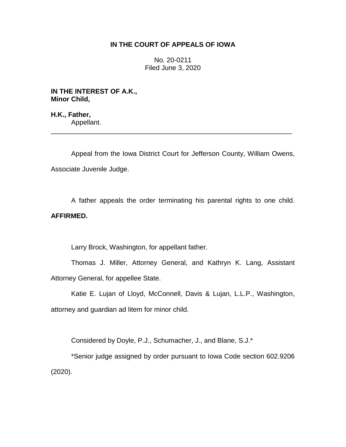## **IN THE COURT OF APPEALS OF IOWA**

No. 20-0211 Filed June 3, 2020

**IN THE INTEREST OF A.K., Minor Child,**

**H.K., Father,** Appellant.

Appeal from the Iowa District Court for Jefferson County, William Owens, Associate Juvenile Judge.

\_\_\_\_\_\_\_\_\_\_\_\_\_\_\_\_\_\_\_\_\_\_\_\_\_\_\_\_\_\_\_\_\_\_\_\_\_\_\_\_\_\_\_\_\_\_\_\_\_\_\_\_\_\_\_\_\_\_\_\_\_\_\_\_

A father appeals the order terminating his parental rights to one child. **AFFIRMED.**

Larry Brock, Washington, for appellant father.

Thomas J. Miller, Attorney General, and Kathryn K. Lang, Assistant Attorney General, for appellee State.

Katie E. Lujan of Lloyd, McConnell, Davis & Lujan, L.L.P., Washington, attorney and guardian ad litem for minor child.

Considered by Doyle, P.J., Schumacher, J., and Blane, S.J.\*

\*Senior judge assigned by order pursuant to Iowa Code section 602.9206 (2020).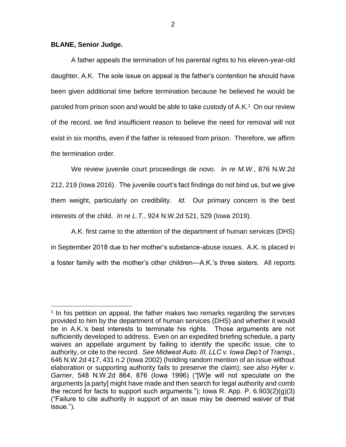## **BLANE, Senior Judge.**

 $\overline{a}$ 

A father appeals the termination of his parental rights to his eleven-year-old daughter, A.K. The sole issue on appeal is the father's contention he should have been given additional time before termination because he believed he would be paroled from prison soon and would be able to take custody of A.K.<sup>1</sup> On our review of the record, we find insufficient reason to believe the need for removal will not exist in six months, even if the father is released from prison. Therefore, we affirm the termination order.

We review juvenile court proceedings de novo. *In re M.W.*, 876 N.W.2d 212, 219 (Iowa 2016). The juvenile court's fact findings do not bind us, but we give them weight, particularly on credibility. *Id.* Our primary concern is the best interests of the child. *In re L.T.*, 924 N.W.2d 521, 529 (Iowa 2019).

A.K. first came to the attention of the department of human services (DHS) in September 2018 due to her mother's substance-abuse issues. A.K. is placed in a foster family with the mother's other children—A.K.'s three sisters. All reports

<sup>&</sup>lt;sup>1</sup> In his petition on appeal, the father makes two remarks regarding the services provided to him by the department of human services (DHS) and whether it would be in A.K.'s best interests to terminate his rights. Those arguments are not sufficiently developed to address. Even on an expedited briefing schedule, a party waives an appellate argument by failing to identify the specific issue, cite to authority, or cite to the record. *See Midwest Auto. III, LLC v. Iowa Dep't of Transp.*, 646 N.W.2d 417, 431 n.2 (Iowa 2002) (holding random mention of an issue without elaboration or supporting authority fails to preserve the claim); s*ee also Hyler v. Garner*, 548 N.W.2d 864, 876 (Iowa 1996) ("[W]e will not speculate on the arguments [a party] might have made and then search for legal authority and comb the record for facts to support such arguments."); lowa R. App. P.  $6.903(2)(g)(3)$ ("Failure to cite authority in support of an issue may be deemed waiver of that issue.").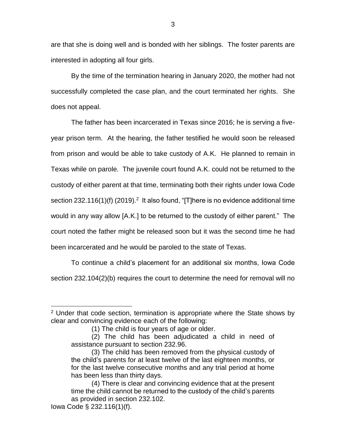are that she is doing well and is bonded with her siblings. The foster parents are interested in adopting all four girls.

By the time of the termination hearing in January 2020, the mother had not successfully completed the case plan, and the court terminated her rights. She does not appeal.

The father has been incarcerated in Texas since 2016; he is serving a fiveyear prison term. At the hearing, the father testified he would soon be released from prison and would be able to take custody of A.K. He planned to remain in Texas while on parole. The juvenile court found A.K. could not be returned to the custody of either parent at that time, terminating both their rights under Iowa Code section 232.116(1)(f) (2019).<sup>2</sup> It also found, "[T]here is no evidence additional time would in any way allow [A.K.] to be returned to the custody of either parent." The court noted the father might be released soon but it was the second time he had been incarcerated and he would be paroled to the state of Texas.

To continue a child's placement for an additional six months, Iowa Code section 232.104(2)(b) requires the court to determine the need for removal will no

 $\overline{a}$ 

 $2$  Under that code section, termination is appropriate where the State shows by clear and convincing evidence each of the following:

<sup>(1)</sup> The child is four years of age or older.

<sup>(2)</sup> The child has been adjudicated a child in need of assistance pursuant to section 232.96.

<sup>(3)</sup> The child has been removed from the physical custody of the child's parents for at least twelve of the last eighteen months, or for the last twelve consecutive months and any trial period at home has been less than thirty days.

<sup>(4)</sup> There is clear and convincing evidence that at the present time the child cannot be returned to the custody of the child's parents as provided in section 232.102.

Iowa Code § 232.116(1)(f).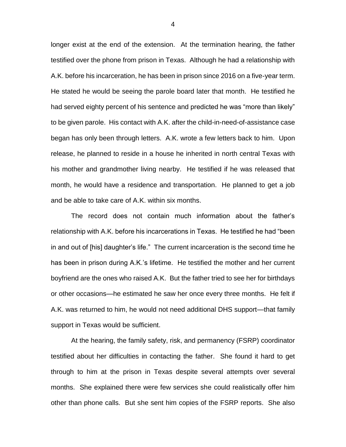longer exist at the end of the extension. At the termination hearing, the father testified over the phone from prison in Texas. Although he had a relationship with A.K. before his incarceration, he has been in prison since 2016 on a five-year term. He stated he would be seeing the parole board later that month. He testified he had served eighty percent of his sentence and predicted he was "more than likely" to be given parole. His contact with A.K. after the child-in-need-of-assistance case began has only been through letters. A.K. wrote a few letters back to him. Upon release, he planned to reside in a house he inherited in north central Texas with his mother and grandmother living nearby. He testified if he was released that month, he would have a residence and transportation. He planned to get a job and be able to take care of A.K. within six months.

The record does not contain much information about the father's relationship with A.K. before his incarcerations in Texas. He testified he had "been in and out of [his] daughter's life." The current incarceration is the second time he has been in prison during A.K.'s lifetime. He testified the mother and her current boyfriend are the ones who raised A.K. But the father tried to see her for birthdays or other occasions—he estimated he saw her once every three months. He felt if A.K. was returned to him, he would not need additional DHS support—that family support in Texas would be sufficient.

At the hearing, the family safety, risk, and permanency (FSRP) coordinator testified about her difficulties in contacting the father. She found it hard to get through to him at the prison in Texas despite several attempts over several months. She explained there were few services she could realistically offer him other than phone calls. But she sent him copies of the FSRP reports. She also

4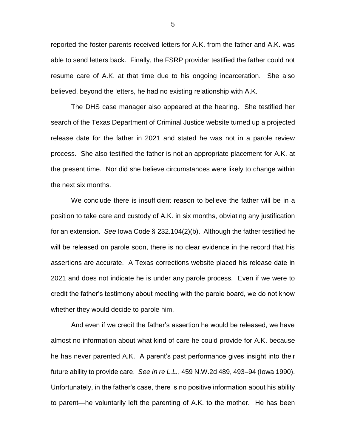reported the foster parents received letters for A.K. from the father and A.K. was able to send letters back. Finally, the FSRP provider testified the father could not resume care of A.K. at that time due to his ongoing incarceration. She also believed, beyond the letters, he had no existing relationship with A.K.

The DHS case manager also appeared at the hearing. She testified her search of the Texas Department of Criminal Justice website turned up a projected release date for the father in 2021 and stated he was not in a parole review process. She also testified the father is not an appropriate placement for A.K. at the present time. Nor did she believe circumstances were likely to change within the next six months.

We conclude there is insufficient reason to believe the father will be in a position to take care and custody of A.K. in six months, obviating any justification for an extension. *See* Iowa Code § 232.104(2)(b). Although the father testified he will be released on parole soon, there is no clear evidence in the record that his assertions are accurate. A Texas corrections website placed his release date in 2021 and does not indicate he is under any parole process. Even if we were to credit the father's testimony about meeting with the parole board, we do not know whether they would decide to parole him.

And even if we credit the father's assertion he would be released, we have almost no information about what kind of care he could provide for A.K. because he has never parented A.K. A parent's past performance gives insight into their future ability to provide care. *See In re L.L.*, 459 N.W.2d 489, 493–94 (Iowa 1990). Unfortunately, in the father's case, there is no positive information about his ability to parent—he voluntarily left the parenting of A.K. to the mother. He has been

5